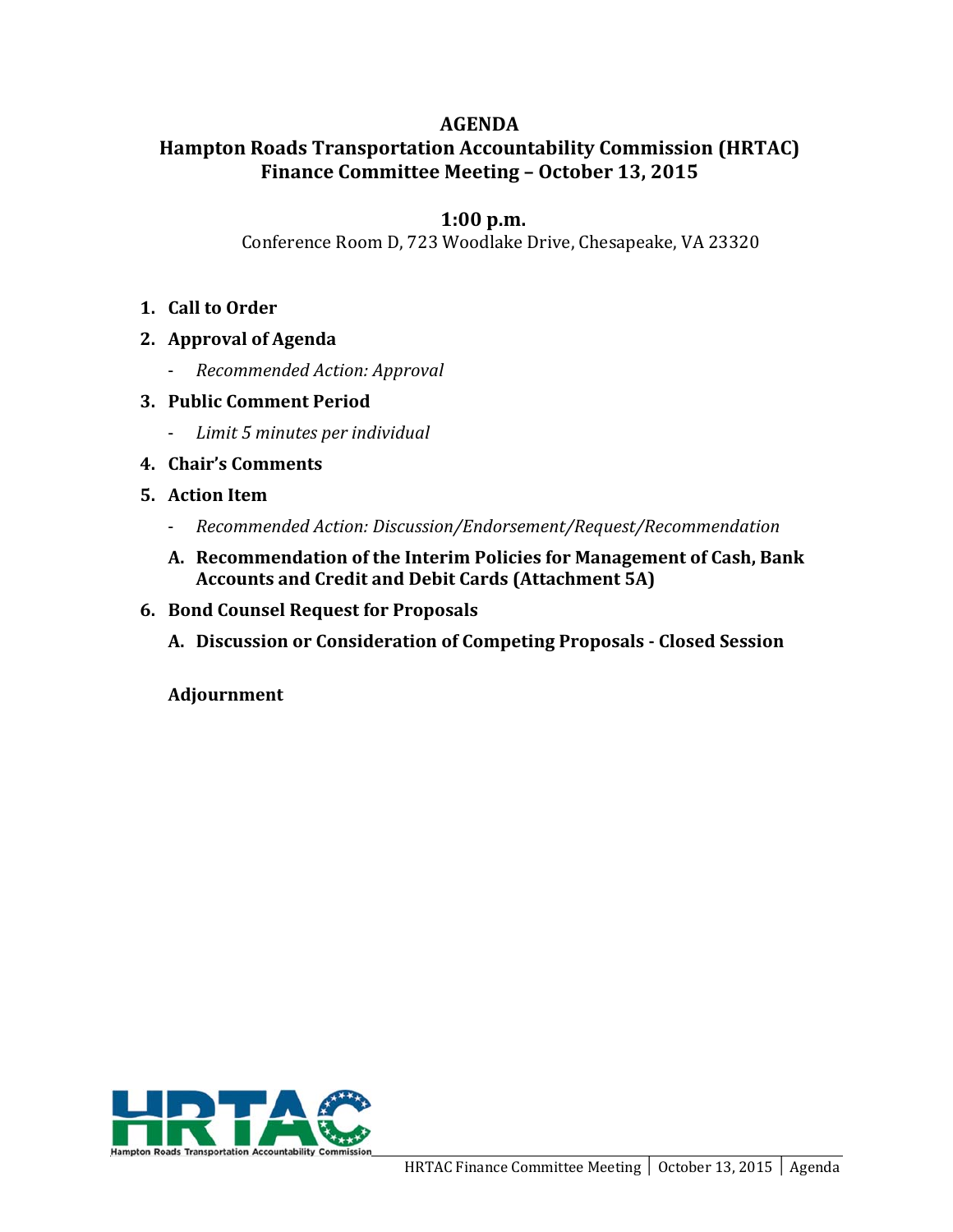## **AGENDA**

# **Hampton Roads Transportation Accountability Commission (HRTAC) Finance Committee Meeting – October 13, 2015**

# **1:00 p.m.**

Conference Room D, 723 Woodlake Drive, Chesapeake, VA 23320

- 1. **Call** to **Order**
- **2. Approval of Agenda**
	- ‐ *Recommended Action: Approval*
- **3. Public Comment Period** 
	- ‐ *Limit 5 minutes per individual*
- **4. Chair's Comments**
- **5. Action Item**
	- ‐ *Recommended Action: Discussion/Endorsement/Request/Recommendation*
	- **A. Recommendation of the Interim Policies for Management of Cash, Bank Accounts and Credit and Debit Cards (Attachment 5A)**
- **6. Bond Counsel Request for Proposals** 
	- **A. Discussion or Consideration of Competing Proposals ‐ Closed Session**

**Adjournment**

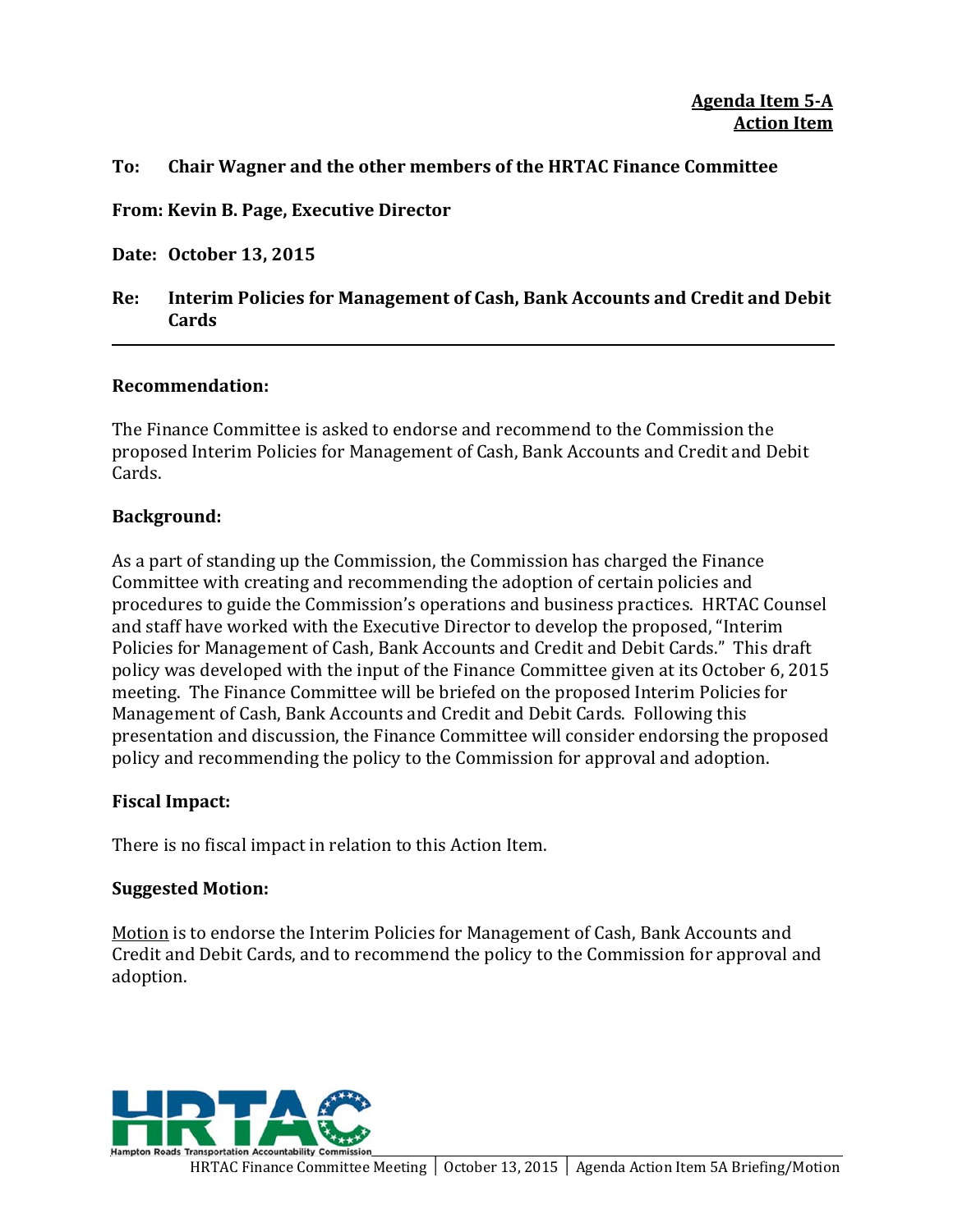## **To: Chair Wagner and the other members of the HRTAC Finance Committee**

**From: Kevin B. Page, Executive Director**

**Date: October 13, 2015**

## **Re: Interim Policies for Management of Cash, Bank Accounts and Credit and Debit Cards**

### **Recommendation:**

The Finance Committee is asked to endorse and recommend to the Commission the proposed Interim Policies for Management of Cash, Bank Accounts and Credit and Debit Cards. 

### **Background:**

As a part of standing up the Commission, the Commission has charged the Finance Committee with creating and recommending the adoption of certain policies and procedures to guide the Commission's operations and business practices. HRTAC Counsel and staff have worked with the Executive Director to develop the proposed, "Interim Policies for Management of Cash, Bank Accounts and Credit and Debit Cards." This draft policy was developed with the input of the Finance Committee given at its October 6, 2015 meeting. The Finance Committee will be briefed on the proposed Interim Policies for Management of Cash, Bank Accounts and Credit and Debit Cards. Following this presentation and discussion, the Finance Committee will consider endorsing the proposed policy and recommending the policy to the Commission for approval and adoption.

### **Fiscal Impact:**

There is no fiscal impact in relation to this Action Item.

#### **Suggested Motion:**

Motion is to endorse the Interim Policies for Management of Cash, Bank Accounts and Credit and Debit Cards, and to recommend the policy to the Commission for approval and adoption. 

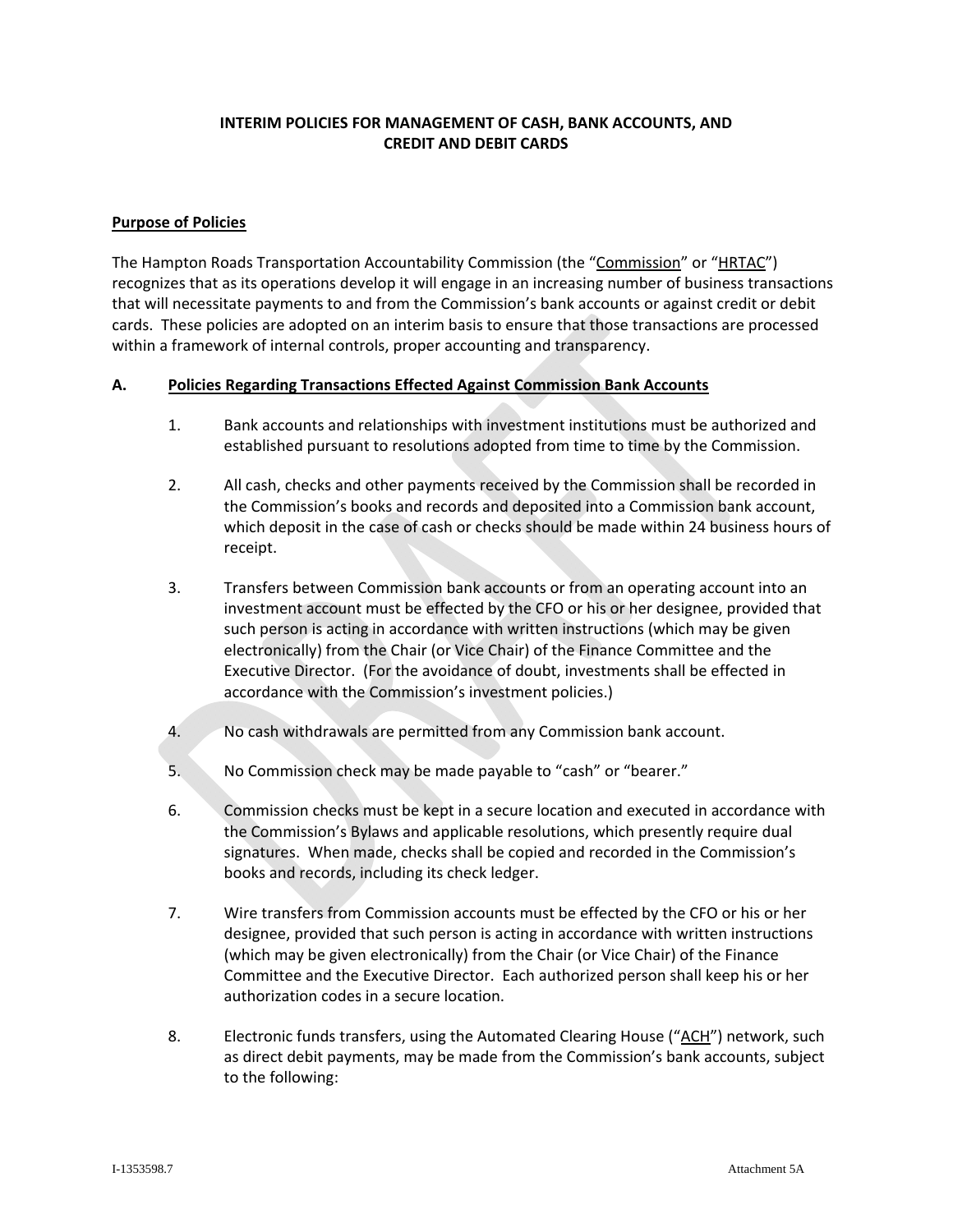#### **INTERIM POLICIES FOR MANAGEMENT OF CASH, BANK ACCOUNTS, AND CREDIT AND DEBIT CARDS**

#### **Purpose of Policies**

The Hampton Roads Transportation Accountability Commission (the "Commission" or "HRTAC") recognizes that as its operations develop it will engage in an increasing number of business transactions that will necessitate payments to and from the Commission's bank accounts or against credit or debit cards. These policies are adopted on an interim basis to ensure that those transactions are processed within a framework of internal controls, proper accounting and transparency.

#### **A. Policies Regarding Transactions Effected Against Commission Bank Accounts**

- 1. Bank accounts and relationships with investment institutions must be authorized and established pursuant to resolutions adopted from time to time by the Commission.
- 2. All cash, checks and other payments received by the Commission shall be recorded in the Commission's books and records and deposited into a Commission bank account, which deposit in the case of cash or checks should be made within 24 business hours of receipt.
- 3. Transfers between Commission bank accounts or from an operating account into an investment account must be effected by the CFO or his or her designee, provided that such person is acting in accordance with written instructions (which may be given electronically) from the Chair (or Vice Chair) of the Finance Committee and the Executive Director. (For the avoidance of doubt, investments shall be effected in accordance with the Commission's investment policies.)
- 4. No cash withdrawals are permitted from any Commission bank account.
- 5. No Commission check may be made payable to "cash" or "bearer."
- 6. Commission checks must be kept in a secure location and executed in accordance with the Commission's Bylaws and applicable resolutions, which presently require dual signatures. When made, checks shall be copied and recorded in the Commission's books and records, including its check ledger.
- 7. Wire transfers from Commission accounts must be effected by the CFO or his or her designee, provided that such person is acting in accordance with written instructions (which may be given electronically) from the Chair (or Vice Chair) of the Finance Committee and the Executive Director. Each authorized person shall keep his or her authorization codes in a secure location.
- 8. Electronic funds transfers, using the Automated Clearing House ("ACH") network, such as direct debit payments, may be made from the Commission's bank accounts, subject to the following: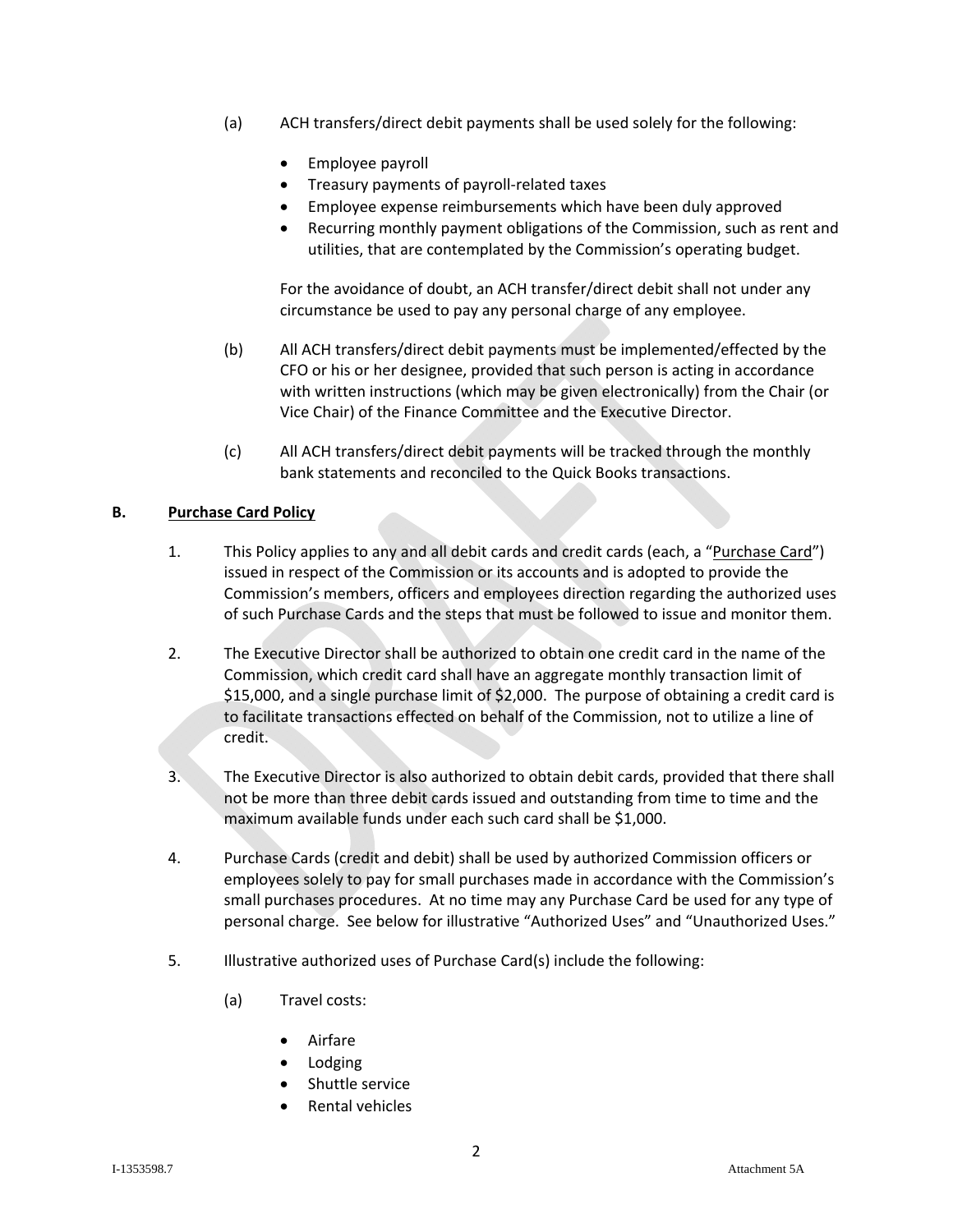- (a) ACH transfers/direct debit payments shall be used solely for the following:
	- Employee payroll
	- Treasury payments of payroll‐related taxes
	- Employee expense reimbursements which have been duly approved
	- Recurring monthly payment obligations of the Commission, such as rent and utilities, that are contemplated by the Commission's operating budget.

For the avoidance of doubt, an ACH transfer/direct debit shall not under any circumstance be used to pay any personal charge of any employee.

- (b) All ACH transfers/direct debit payments must be implemented/effected by the CFO or his or her designee, provided that such person is acting in accordance with written instructions (which may be given electronically) from the Chair (or Vice Chair) of the Finance Committee and the Executive Director.
- (c) All ACH transfers/direct debit payments will be tracked through the monthly bank statements and reconciled to the Quick Books transactions.

#### **B. Purchase Card Policy**

- 1. This Policy applies to any and all debit cards and credit cards (each, a "Purchase Card") issued in respect of the Commission or its accounts and is adopted to provide the Commission's members, officers and employees direction regarding the authorized uses of such Purchase Cards and the steps that must be followed to issue and monitor them.
- 2. The Executive Director shall be authorized to obtain one credit card in the name of the Commission, which credit card shall have an aggregate monthly transaction limit of \$15,000, and a single purchase limit of \$2,000. The purpose of obtaining a credit card is to facilitate transactions effected on behalf of the Commission, not to utilize a line of credit.
- 3. The Executive Director is also authorized to obtain debit cards, provided that there shall not be more than three debit cards issued and outstanding from time to time and the maximum available funds under each such card shall be \$1,000.
- 4. Purchase Cards (credit and debit) shall be used by authorized Commission officers or employees solely to pay for small purchases made in accordance with the Commission's small purchases procedures. At no time may any Purchase Card be used for any type of personal charge. See below for illustrative "Authorized Uses" and "Unauthorized Uses."
- 5. Illustrative authorized uses of Purchase Card(s) include the following:
	- (a) Travel costs:
		- Airfare
		- Lodging
		- Shuttle service
		- Rental vehicles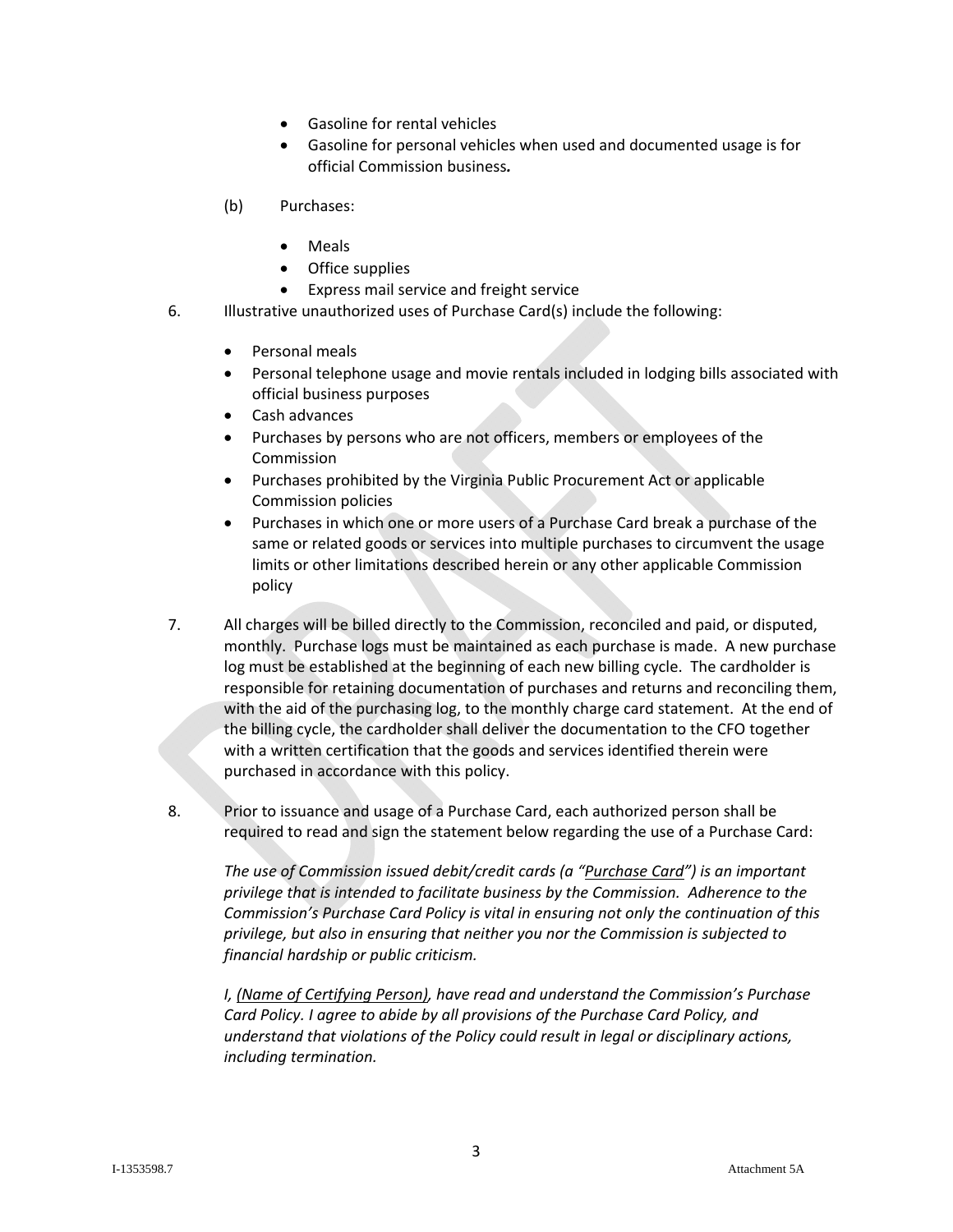- Gasoline for rental vehicles
- Gasoline for personal vehicles when used and documented usage is for official Commission business*.*
- (b) Purchases:
	- Meals
	- Office supplies
	- Express mail service and freight service
- 6. Illustrative unauthorized uses of Purchase Card(s) include the following:
	- Personal meals
	- Personal telephone usage and movie rentals included in lodging bills associated with official business purposes
	- Cash advances
	- Purchases by persons who are not officers, members or employees of the Commission
	- Purchases prohibited by the Virginia Public Procurement Act or applicable Commission policies
	- Purchases in which one or more users of a Purchase Card break a purchase of the same or related goods or services into multiple purchases to circumvent the usage limits or other limitations described herein or any other applicable Commission policy
- 7. All charges will be billed directly to the Commission, reconciled and paid, or disputed, monthly. Purchase logs must be maintained as each purchase is made. A new purchase log must be established at the beginning of each new billing cycle. The cardholder is responsible for retaining documentation of purchases and returns and reconciling them, with the aid of the purchasing log, to the monthly charge card statement. At the end of the billing cycle, the cardholder shall deliver the documentation to the CFO together with a written certification that the goods and services identified therein were purchased in accordance with this policy.
- 8. Prior to issuance and usage of a Purchase Card, each authorized person shall be required to read and sign the statement below regarding the use of a Purchase Card:

*The use of Commission issued debit/credit cards (a "Purchase Card") is an important privilege that is intended to facilitate business by the Commission. Adherence to the Commission's Purchase Card Policy is vital in ensuring not only the continuation of this privilege, but also in ensuring that neither you nor the Commission is subjected to financial hardship or public criticism.*

*I, (Name of Certifying Person), have read and understand the Commission's Purchase Card Policy. I agree to abide by all provisions of the Purchase Card Policy, and understand that violations of the Policy could result in legal or disciplinary actions, including termination.*